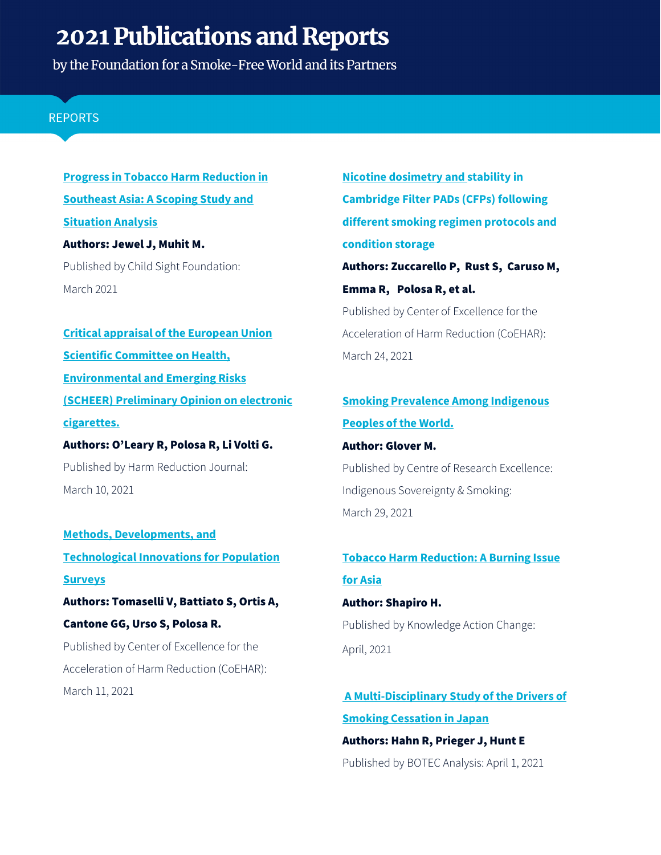by the Foundation for a Smoke-Free World and its Partners

## **REPORTS**

**[Progress in Tobacco Harm Reduction in](https://www.smokefreeworld.org/wp-content/uploads/2021/03/Bangladesh_Country_Report.pdf)  [Southeast Asia: A Scoping Study and](https://www.smokefreeworld.org/wp-content/uploads/2021/03/Bangladesh_Country_Report.pdf)  [Situation Analysis](https://www.smokefreeworld.org/wp-content/uploads/2021/03/Bangladesh_Country_Report.pdf)** Authors: Jewel J, Muhit M. Published by Child Sight Foundation: March 2021

**[Critical appraisal of the European Union](https://harmreductionjournal.biomedcentral.com/articles/10.1186/s12954-021-00476-6)  [Scientific Committee on Health,](https://harmreductionjournal.biomedcentral.com/articles/10.1186/s12954-021-00476-6)  [Environmental and Emerging Risks](https://harmreductionjournal.biomedcentral.com/articles/10.1186/s12954-021-00476-6)  (SCHEER) [Preliminary Opinion on electronic](https://harmreductionjournal.biomedcentral.com/articles/10.1186/s12954-021-00476-6)  [cigarettes.](https://harmreductionjournal.biomedcentral.com/articles/10.1186/s12954-021-00476-6)**

Authors: O'Leary R, Polosa R, Li Volti G. Published by Harm Reduction Journal: March 10, 2021

**[Methods, Developments, and](https://journals.sagepub.com/doi/abs/10.1177/0894439321994218)  [Technological Innovations for Population](https://journals.sagepub.com/doi/abs/10.1177/0894439321994218)  [Surveys](https://journals.sagepub.com/doi/abs/10.1177/0894439321994218)** Authors: Tomaselli V, Battiato S, Ortis A, Cantone GG, Urso S, Polosa R. Published by Center of Excellence for the Acceleration of Harm Reduction (CoEHAR): March 11, 2021

**[Nicotine dosimetry and stability in](https://www.sciencedirect.com/science/article/pii/S027323002100057X)  [Cambridge Filter PADs \(CFPs\) following](https://www.sciencedirect.com/science/article/pii/S027323002100057X)  [different smoking regimen protocols and](https://www.sciencedirect.com/science/article/pii/S027323002100057X)  [condition storage](https://www.sciencedirect.com/science/article/pii/S027323002100057X)**  Authors: Zuccarello P, Rust S, Caruso M, Emma R, Polosa R, et al. Published by Center of Excellence for the Acceleration of Harm Reduction (CoEHAR): March 24, 2021

# **[Smoking Prevalence Among Indigenous](https://coreiss.com/file/display/publication/22/smoking_prevalence_among_indigenous_peoples_of_the_world.pdf)  [Peoples of the World.](https://coreiss.com/file/display/publication/22/smoking_prevalence_among_indigenous_peoples_of_the_world.pdf)**

Author: Glover M.

Published by Centre of Research Excellence: Indigenous Sovereignty & Smoking: March 29, 2021

# **[Tobacco Harm Reduction: A Burning Issue](https://gsthr.org/events/tobacco-harm-reduction-a-burning-issue-for-asia/)  [for Asia](https://gsthr.org/events/tobacco-harm-reduction-a-burning-issue-for-asia/)**

Author: Shapiro H. Published by Knowledge Action Change: April, 2021

**[A Multi-Disciplinary Study of the Drivers of](https://papers.ssrn.com/sol3/papers.cfm?abstract_id=3773737)  [Smoking Cessation in Japan](https://papers.ssrn.com/sol3/papers.cfm?abstract_id=3773737)**

Authors: Hahn R, Prieger J, Hunt E Published by BOTEC Analysis: April 1, 2021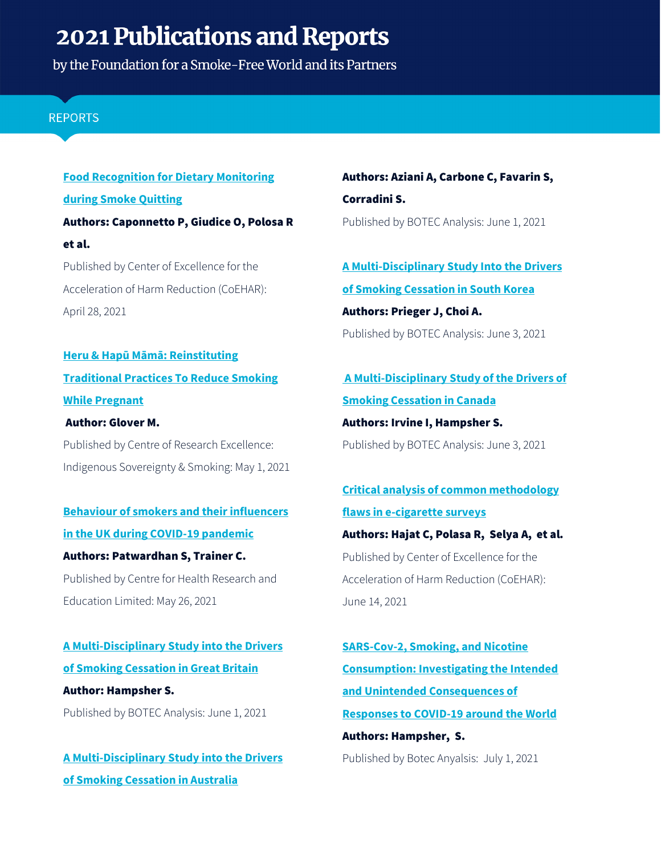by the Foundation for a Smoke-Free World and its Partners

## **REPORTS**

# **Food Recognition for Dietary Monitoring during Smoke Quitting** Authors: Caponnetto P, Giudice O, Polosa R et al. Published by Center of Excellence for the

Acceleration of Harm Reduction (CoEHAR): April 28, 2021

**[Heru & Hapū Māmā: Reinstituting](https://coreiss.com/file/display/publication/23/heru_and_hapu_interactive_21221.pdf)  [Traditional Practices To Reduce Smoking](https://coreiss.com/file/display/publication/23/heru_and_hapu_interactive_21221.pdf)  [While Pregnant](https://coreiss.com/file/display/publication/23/heru_and_hapu_interactive_21221.pdf)**

Author: Glover M.

Published by Centre of Research Excellence: Indigenous Sovereignty & Smoking: May 1, 2021

# **[Behaviour of smokers](https://www.medrxiv.org/content/10.1101/2021.05.25.21257716v1) and their influencers [in the UK during COVID-19 pandemic](https://www.medrxiv.org/content/10.1101/2021.05.25.21257716v1)**

Authors: Patwardhan S, Trainer C. Published by Centre for Health Research and Education Limited: May 26, 2021

**[A Multi-Disciplinary Study into the Drivers](https://papers.ssrn.com/sol3/papers.cfm?abstract_id=3770858)  [of Smoking Cessation in Great Britain](https://papers.ssrn.com/sol3/papers.cfm?abstract_id=3770858)** Author: Hampsher S. Published by BOTEC Analysis: June 1, 2021

**[A Multi-Disciplinary Study into the Drivers](https://papers.ssrn.com/sol3/papers.cfm?abstract_id=3813004)  [of Smoking Cessation in Australia](https://papers.ssrn.com/sol3/papers.cfm?abstract_id=3813004)**

Authors: Aziani A, Carbone C, Favarin S, Corradini S. Published by BOTEC Analysis: June 1, 2021

**[A Multi-Disciplinary Study Into the Drivers](https://papers.ssrn.com/sol3/papers.cfm?abstract_id=3773245)  [of Smoking Cessation in South Korea](https://papers.ssrn.com/sol3/papers.cfm?abstract_id=3773245)** Authors: Prieger J, Choi A. Published by BOTEC Analysis: June 3, 2021

**[A Multi-Disciplinary Study of the Drivers of](https://papers.ssrn.com/sol3/papers.cfm?abstract_id=3774423)  [Smoking Cessation in Canada](https://papers.ssrn.com/sol3/papers.cfm?abstract_id=3774423)** Authors: Irvine I, Hampsher S.

Published by BOTEC Analysis: June 3, 2021

**[Critical analysis of common methodology](https://www.qeios.com/read/IZGWNJ.4)  [flaws in e-cigarette surveys](https://www.qeios.com/read/IZGWNJ.4)**  Authors: Hajat C, Polasa R, Selya A, et al. Published by Center of Excellence for the Acceleration of Harm Reduction (CoEHAR): June 14, 2021

**[SARS-Cov-2, Smoking, and Nicotine](https://papers.ssrn.com/sol3/papers.cfm?abstract_id=3950689)  [Consumption: Investigating the Intended](https://papers.ssrn.com/sol3/papers.cfm?abstract_id=3950689)  [and Unintended Consequences of](https://papers.ssrn.com/sol3/papers.cfm?abstract_id=3950689)  [Responses to COVID-19 around the World](https://papers.ssrn.com/sol3/papers.cfm?abstract_id=3950689)** Authors: Hampsher, S.

Published by Botec Anyalsis: July 1, 2021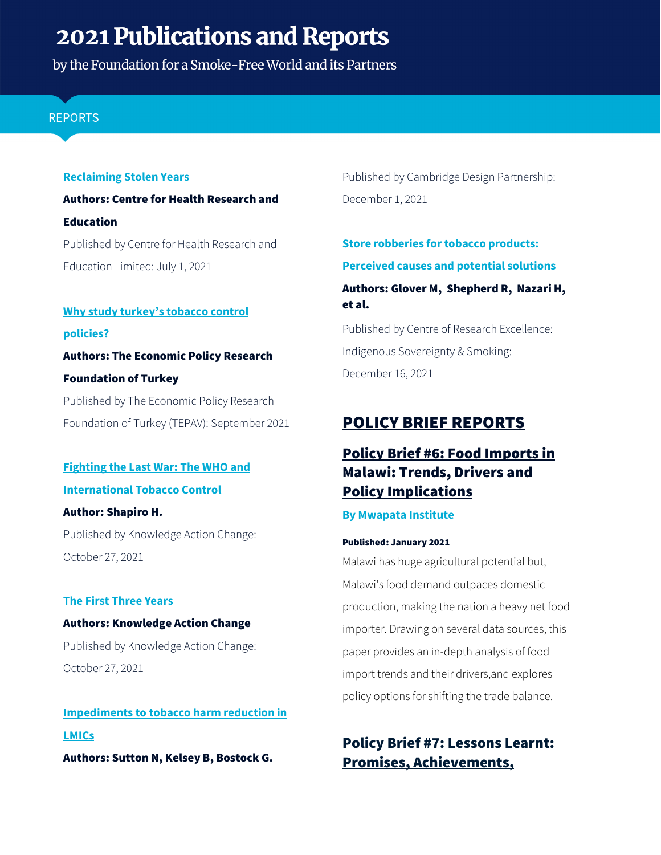by the Foundation for a Smoke-Free World and its Partners

## **REPORTS**

## **Reclaiming Stolen Years**

Authors: Centre for Health Research and Education Published by Centre for Health Research and Education Limited: July 1, 2021

# **[Why study turkey's tobacco control](https://comstd.com/demo/tepavhe/files/note/WHY%20STUDY%20TURKEY%E2%80%99S%20TOBACCO%20CONTROL%20POLICIES.PDF) [policies?](https://comstd.com/demo/tepavhe/files/note/WHY%20STUDY%20TURKEY%E2%80%99S%20TOBACCO%20CONTROL%20POLICIES.PDF)** Authors: The Economic Policy Research Foundation of Turkey Published by The Economic Policy Research

Foundation of Turkey (TEPAV): September 2021

# **[Fighting the Last War: The WHO and](https://gsthr.org/documents/114/Fighting-the-Last-War-EN-2021.pdf)  [International Tobacco Control](https://gsthr.org/documents/114/Fighting-the-Last-War-EN-2021.pdf)**

Author: Shapiro H. Published by Knowledge Action Change: October 27, 2021

## **[The First Three Years](https://thrsp.net/documents/23/THRSP_-_The_First_Three_Years.pdf)**

Authors: Knowledge Action Change Published by Knowledge Action Change: October 27, 2021

**[Impediments to tobacco harm reduction in](https://www.cambridge-design.com/wp-content/uploads/2021/12/Whitepaper-Impediments-to-tobacco-harm-reduction-in-LMICs-CDP.pdf)  [LMICs](https://www.cambridge-design.com/wp-content/uploads/2021/12/Whitepaper-Impediments-to-tobacco-harm-reduction-in-LMICs-CDP.pdf)** Authors: Sutton N, Kelsey B, Bostock G.

Published by Cambridge Design Partnership: December 1, 2021

**[Store robberies for tobacco products:](https://coreiss.com/file/display/publication/26/glover_2021_tobacco_robberies_causes_and_solutions.pdf)  [Perceived causes and potential solutions](https://coreiss.com/file/display/publication/26/glover_2021_tobacco_robberies_causes_and_solutions.pdf)** Authors: Glover M, Shepherd R, Nazari H, et al. Published by Centre of Research Excellence:

Indigenous Sovereignty & Smoking: December 16, 2021

# POLICY BRIEF REPORTS

# [Policy Brief #6: Food Imports in](https://www.mwapata.mw/_files/ugd/dd6c2f_b9a8e981433b4efd8f28cda9fd686b2d.pdf?index=true)  [Malawi: Trends, Drivers and](https://www.mwapata.mw/_files/ugd/dd6c2f_b9a8e981433b4efd8f28cda9fd686b2d.pdf?index=true)  [Policy Implications](https://www.mwapata.mw/_files/ugd/dd6c2f_b9a8e981433b4efd8f28cda9fd686b2d.pdf?index=true)

## **By Mwapata Institute**

#### Published: January 2021

Malawi has huge agricultural potential but, Malawi's food demand outpaces domestic production, making the nation a heavy net food importer. Drawing on several data sources, this paper provides an in-depth analysis of food import trends and their drivers,and explores policy options for shifting the trade balance.

# Policy Brief #7: [Lessons Learnt:](https://www.mwapata.mw/_files/ugd/dd6c2f_decdb3b481b243388d835f560a28fc9d.pdf?index=true)  [Promises, Achievements,](https://www.mwapata.mw/_files/ugd/dd6c2f_decdb3b481b243388d835f560a28fc9d.pdf?index=true)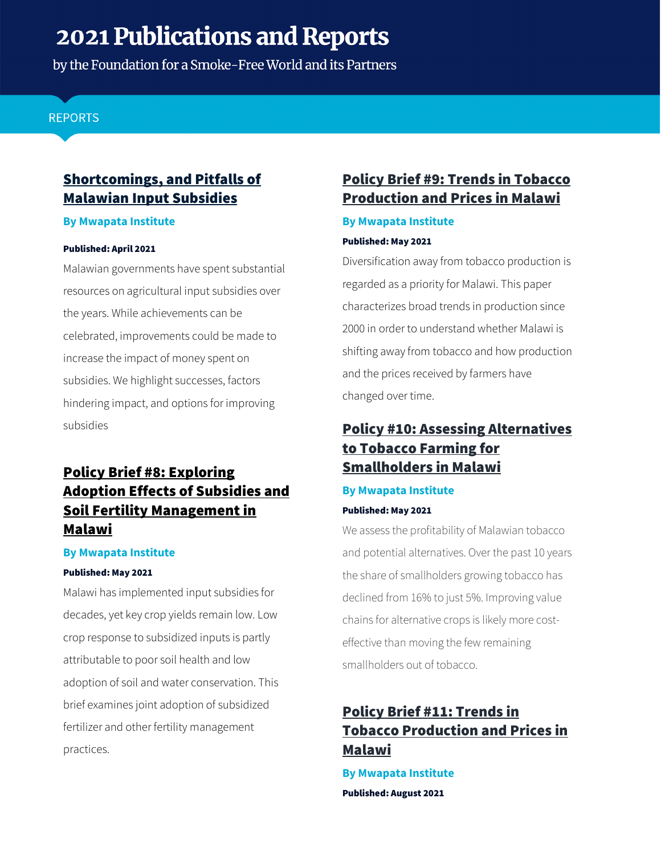by the Foundation for a Smoke-Free World and its Partners

## **REPORTS**

# [Shortcomings, and Pitfalls of](https://www.mwapata.mw/_files/ugd/dd6c2f_decdb3b481b243388d835f560a28fc9d.pdf?index=true)  [Malawian Input Subsidies](https://www.mwapata.mw/_files/ugd/dd6c2f_decdb3b481b243388d835f560a28fc9d.pdf?index=true)

### **By Mwapata Institute**

### Published: April 2021

Malawian governments have spent substantial resources on agricultural input subsidies over the years. While achievements can be celebrated, improvements could be made to increase the impact of money spent on subsidies. We highlight successes, factors hindering impact, and options for improving subsidies

# [Policy Brief #8:](https://www.mwapata.mw/_files/ugd/dd6c2f_661bd82cb16e45eea96ade299970f2b1.pdf?index=true) Exploring [Adoption Effects of Subsidies and](https://www.mwapata.mw/_files/ugd/dd6c2f_661bd82cb16e45eea96ade299970f2b1.pdf?index=true)  [Soil Fertility Management in](https://www.mwapata.mw/_files/ugd/dd6c2f_661bd82cb16e45eea96ade299970f2b1.pdf?index=true)  [Malawi](https://www.mwapata.mw/_files/ugd/dd6c2f_661bd82cb16e45eea96ade299970f2b1.pdf?index=true)

## **By Mwapata Institute**

#### Published: May 2021

Malawi has implemented input subsidies for decades, yet key crop yields remain low. Low crop response to subsidized inputs is partly attributable to poor soil health and low adoption of soil and water conservation. This brief examines joint adoption of subsidized fertilizer and other fertility management practices.

# Policy Brief #9: [Trends in Tobacco](https://www.mwapata.mw/_files/ugd/dd6c2f_7aff30ee919847ddb39ceb7a947a3a73.pdf?index=true)  [Production and Prices in Malawi](https://www.mwapata.mw/_files/ugd/dd6c2f_7aff30ee919847ddb39ceb7a947a3a73.pdf?index=true)

## **By Mwapata Institute**

### Published: May 2021

Diversification away from tobacco production is regarded as a priority for Malawi. This paper characterizes broad trends in production since 2000 in order to understand whether Malawi is shifting away from tobacco and how production and the prices received by farmers have changed over time.

# Policy #10: [Assessing Alternatives](https://www.mwapata.mw/_files/ugd/dd6c2f_a54d8fd0bdc74ca8938ea42d732099dc.pdf?index=true)  [to Tobacco Farming for](https://www.mwapata.mw/_files/ugd/dd6c2f_a54d8fd0bdc74ca8938ea42d732099dc.pdf?index=true)  [Smallholders in Malawi](https://www.mwapata.mw/_files/ugd/dd6c2f_a54d8fd0bdc74ca8938ea42d732099dc.pdf?index=true)

## **By Mwapata Institute**

## Published: May 2021

We assess the profitability of Malawian tobacco and potential alternatives. Over the past 10 years the share of smallholders growing tobacco has declined from 16% to just 5%. Improving value chains for alternative crops is likely more costeffective than moving the few remaining smallholders out of tobacco.

# [Policy Brief #11:](https://www.mwapata.mw/_files/ugd/dd6c2f_7aff30ee919847ddb39ceb7a947a3a73.pdf?index=true) Trends in [Tobacco Production and Prices in](https://www.mwapata.mw/_files/ugd/dd6c2f_7aff30ee919847ddb39ceb7a947a3a73.pdf?index=true)  [Malawi](https://www.mwapata.mw/_files/ugd/dd6c2f_7aff30ee919847ddb39ceb7a947a3a73.pdf?index=true)

**By Mwapata Institute** Published: August 2021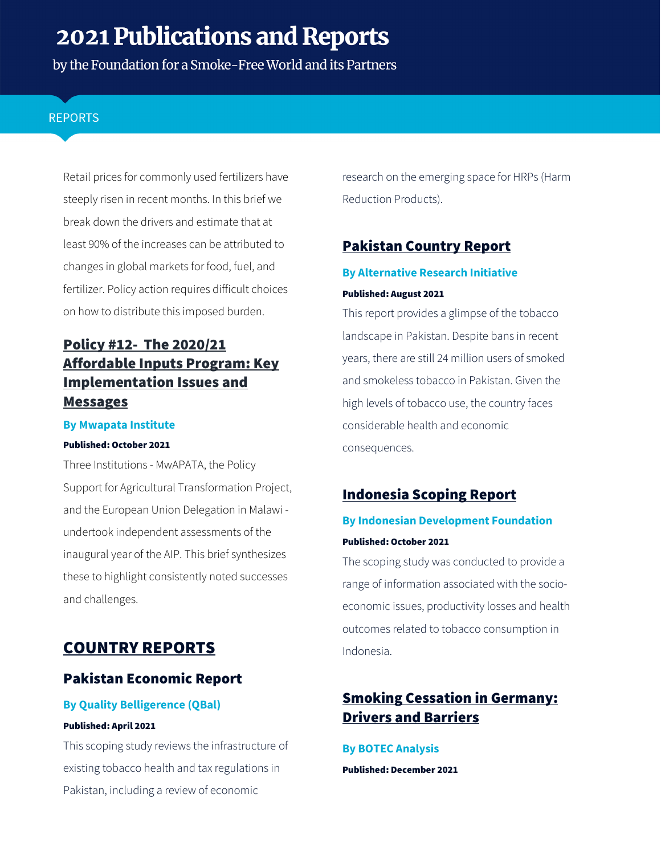by the Foundation for a Smoke-Free World and its Partners

## **REPORTS**

Retail prices for commonly used fertilizers have steeply risen in recent months. In this brief we break down the drivers and estimate that at least 90% of the increases can be attributed to changes in global markets for food, fuel, and fertilizer. Policy action requires difficult choices on how to distribute this imposed burden.

# Policy #12- [The 2020/21](https://www.mwapata.mw/_files/ugd/dd6c2f_6bd34c06534e4011bb7927cbd7bc7dbe.pdf?index=true)  [Affordable Inputs Program: Key](https://www.mwapata.mw/_files/ugd/dd6c2f_6bd34c06534e4011bb7927cbd7bc7dbe.pdf?index=true)  [Implementation Issues and](https://www.mwapata.mw/_files/ugd/dd6c2f_6bd34c06534e4011bb7927cbd7bc7dbe.pdf?index=true)  **[Messages](https://www.mwapata.mw/_files/ugd/dd6c2f_6bd34c06534e4011bb7927cbd7bc7dbe.pdf?index=true)**

### **By Mwapata Institute**

#### Published: October 2021

Three Institutions - MwAPATA, the Policy Support for Agricultural Transformation Project, and the European Union Delegation in Malawi undertook independent assessments of the inaugural year of the AIP. This brief synthesizes these to highlight consistently noted successes and challenges.

# COUNTRY REPORTS

# [Pakistan Economic Report](https://www.smokefreeworld.org/wp-content/uploads/2021/09/Final%20Pakistan%20Economic%20Report_2Sep21.pdf)

## **By Quality Belligerence (QBal)** Published: April 2021

This scoping study reviews the infrastructure of existing tobacco health and tax regulations in Pakistan, including a review of economic

research on the emerging space for HRPs (Harm Reduction Products).

# [Pakistan Country Report](https://www.smokefreeworld.org/wp-content/uploads/2021/09/Final-Pakistan-Country-Report_2Sep21-compressed.pdf)

## **By Alternative Research Initiative** Published: August 2021

This report provides a glimpse of the tobacco landscape in Pakistan. Despite bans in recent years, there are still 24 million users of smoked and smokeless tobacco in Pakistan. Given the high levels of tobacco use, the country faces considerable health and economic consequences.

# [Indonesia Scoping Report](https://www.smokefreeworld.org/wp-content/uploads/2021/09/Indonesia%20Scoping%20Study%20Final%20Report.pdf)

## **By Indonesian Development Foundation** Published: October 2021

The scoping study was conducted to provide a range of information associated with the socioeconomic issues, productivity losses and health outcomes related to tobacco consumption in Indonesia.

# [Smoking Cessation in Germany:](https://www.smokefreeworld.org/wp-content/uploads/2021/12/Germany%20Report%20Botec.pdf?_t=1640030104)  [Drivers and Barriers](https://www.smokefreeworld.org/wp-content/uploads/2021/12/Germany%20Report%20Botec.pdf?_t=1640030104)

## **By BOTEC Analysis** Published: December 2021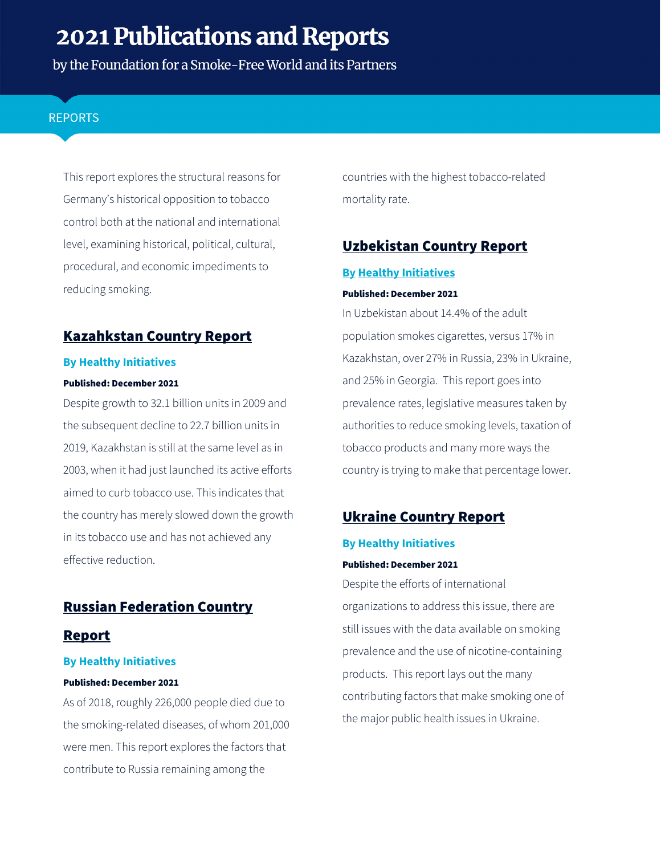by the Foundation for a Smoke-Free World and its Partners

## **REPORTS**

This report explores the structural reasons for Germany's historical opposition to tobacco control both at the national and international level, examining historical, political, cultural, procedural, and economic impediments to reducing smoking.

## Kazahkstan [Country Report](https://www.smokefreeworld.org/wp-content/uploads/2021/12/Kazahkstan_country_report_12.21.21.pdf)

#### **By Healthy Initiatives**

#### Published: December 2021

Despite growth to 32.1 billion units in 2009 and the subsequent decline to 22.7 billion units in 2019, Kazakhstan is still at the same level as in 2003, when it had just launched its active efforts aimed to curb tobacco use. This indicates that the country has merely slowed down the growth in its tobacco use and has not achieved any effective reduction.

## [Russian Federation Country](https://www.smokefreeworld.org/wp-content/uploads/2021/12/Russia_country_report_12.21.21.pdf)

## [Report](https://www.smokefreeworld.org/wp-content/uploads/2021/12/Russia_country_report_12.21.21.pdf)

#### **By Healthy Initiatives**

#### Published: December 2021

As of 2018, roughly 226,000 people died due to the smoking-related diseases, of whom 201,000 were men. This report explores the factors that contribute to Russia remaining among the

countries with the highest tobacco-related mortality rate.

# [Uzbekistan Country Report](https://www.smokefreeworld.org/wp-content/uploads/2021/12/Uzbekistan_country_report_122121.pdf)

### **By Healthy Initiatives**

#### Published: December 2021

In Uzbekistan about 14.4% of the adult population smokes cigarettes, versus 17% in Kazakhstan, over 27% in Russia, 23% in Ukraine, and 25% in Georgia. This report goes into prevalence rates, legislative measures taken by authorities to reduce smoking levels, taxation of tobacco products and many more ways the country is trying to make that percentage lower.

## [Ukraine Country Report](https://www.smokefreeworld.org/wp-content/uploads/2021/12/Ukraine_country_report_12.21.21.pdf)

#### **By Healthy Initiatives**

#### Published: December 2021

Despite the efforts of international organizations to address this issue, there are still issues with the data available on smoking prevalence and the use of nicotine-containing products. This report lays out the many contributing factors that make smoking one of the major public health issues in Ukraine.